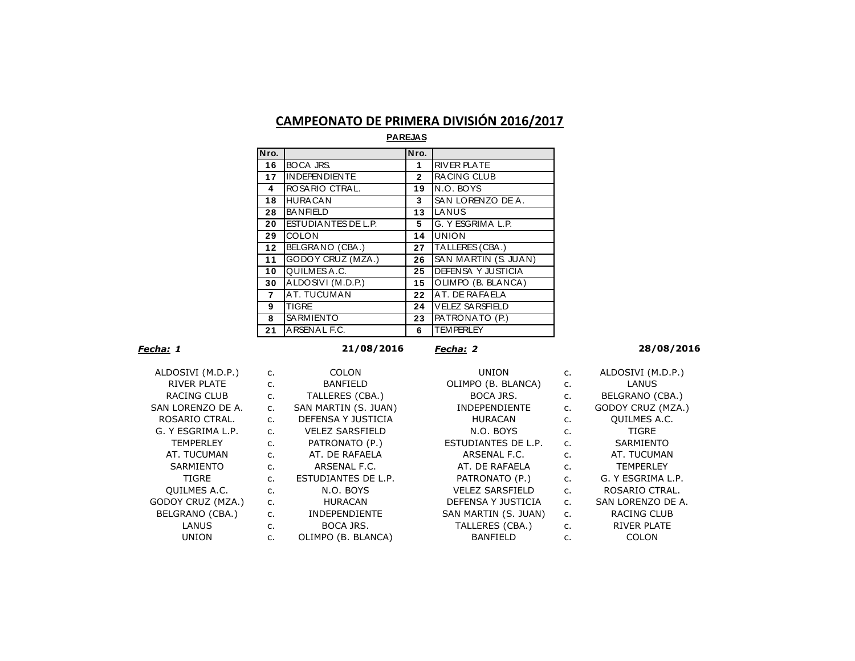## **CAMPEONATO DE PRIMERA DIVISIÓN 2016/2017**

| Nro.            |                      | Nro.         |                           |
|-----------------|----------------------|--------------|---------------------------|
| 16              | <b>BOCA JRS.</b>     | 1            | <b>RIVER PLATE</b>        |
| 17              | <b>INDEPENDIENTE</b> | $\mathbf{2}$ | <b>RACING CLUB</b>        |
| 4               | ROSARIO CTRAL.       | 19           | N.O. BOYS                 |
| 18              | <b>HURACAN</b>       | 3            | SAN LORENZO DE A.         |
| 28              | <b>BANFIELD</b>      | 13           | LANUS                     |
| 20              | ESTUDIANTES DE L.P.  | 5            | G. Y ESGRIMA L.P.         |
| 29              | <b>COLON</b>         | 14           | <b>UNION</b>              |
| $\overline{12}$ | BELGRANO (CBA.)      | 27           | TALLERES (CBA.)           |
| 11              | GODOY CRUZ (MZA.)    | 26           | SAN MARTIN (S. JUAN)      |
| 10              | QUILMES A.C.         | 25           | <b>DEFENSA Y JUSTICIA</b> |
| 30              | ALDOSIVI (M.D.P.)    | 15           | OLIMPO (B. BLANCA)        |
| $\overline{7}$  | <b>AT. TUCUMAN</b>   | 22           | AT. DE RAFAELA            |
| 9               | <b>TIGRE</b>         | 24           | <b>VELEZ SA RSFIELD</b>   |
| 8               | SA RMIENTO           | 23           | PATRONATO (P.)            |
| 21              | ARSENAL F.C.         | 6            | <b>TEMPERLEY</b>          |

**PAREJAS**

*Fecha: 1* **21/08/2016** *Fecha: 2* **28/08/2016**

| ALDOSIVI (M.D.P.)                       |
|-----------------------------------------|
| RIVER PI ATF                            |
| RACING CLUB                             |
| SAN LORENZO DE A.                       |
| ROSARIO CTRAL.                          |
| G. Y FSGRIMA L.P.                       |
| <b>TEMPERLEY</b>                        |
| AT. TUCUMAN                             |
| SARMIENTO                               |
| TIGRE                                   |
| QUILMES A.C.                            |
| GODOY CRUZ (MZA.)                       |
| BELGRANO (CBA.)                         |
| I ANUS                                  |
| $\overline{\phantom{a}}$ init $\cap$ ni |

| ALDOSIVI (M.D.P.)   | $\mathsf{C}$ . | <b>COLON</b>           | <b>UNION</b>           | c.             | ALDOSIVI (M.D.P.)   |
|---------------------|----------------|------------------------|------------------------|----------------|---------------------|
| RIVER PLATE         | c.             | <b>BANFIELD</b>        | OLIMPO (B. BLANCA)     | c.             | LANUS               |
| RACING CLUB         | c.             | TALLERES (CBA.)        | BOCA JRS.              | c.             | BELGRANO (CBA.)     |
| SAN LORENZO DE A.   | c.             | SAN MARTIN (S. JUAN)   | <b>INDEPENDIENTE</b>   | c.             | GODOY CRUZ (MZA.)   |
| ROSARIO CTRAL.      | c.             | DEFENSA Y JUSTICIA     | <b>HURACAN</b>         | c.             | <b>QUILMES A.C.</b> |
| G. Y ESGRIMA L.P.   | $C_{1}$        | <b>VELEZ SARSFIELD</b> | N.O. BOYS              | $C_{1}$        | TIGRE               |
| <b>TEMPERLEY</b>    | $C_{1}$        | PATRONATO (P.)         | ESTUDIANTES DE L.P.    | $\mathsf{C}$ . | SARMIENTO           |
| AT. TUCUMAN         | $C_{1}$        | AT. DE RAFAELA         | ARSENAL F.C.           | c.             | AT. TUCUMAN         |
| SARMIENTO           | c.             | ARSENAL F.C.           | AT. DE RAFAELA         | C.             | <b>TEMPERLEY</b>    |
| <b>TIGRE</b>        | $C_{1}$        | ESTUDIANTES DE L.P.    | PATRONATO (P.)         | c.             | G. Y ESGRIMA L.P.   |
| <b>QUILMES A.C.</b> | c.             | N.O. BOYS              | <b>VELEZ SARSFIELD</b> | $\mathsf{C}$ . | ROSARIO CTRAL.      |
| GODOY CRUZ (MZA.)   | $C_{1}$        | <b>HURACAN</b>         | DEFENSA Y JUSTICIA     | $\mathsf{C}$ . | SAN LORENZO DE A.   |
| BELGRANO (CBA.)     | c.             | <b>INDEPENDIENTE</b>   | SAN MARTIN (S. JUAN)   | c.             | <b>RACING CLUB</b>  |
| LANUS               | c.             | BOCA JRS.              | TALLERES (CBA.)        | c.             | <b>RIVER PLATE</b>  |
| <b>UNION</b>        | c.             | OLIMPO (B. BLANCA)     | <b>BANFIELD</b>        | c.             | <b>COLON</b>        |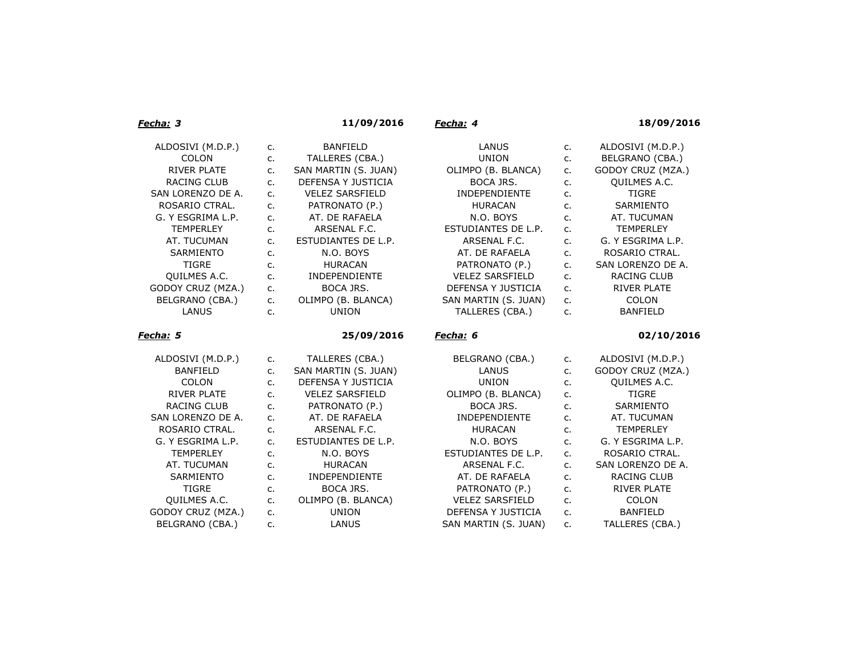| Fecha: 3                             |               | 11/09/2016                                 | Fecha: 4                        |          | 18/09/2016                   |
|--------------------------------------|---------------|--------------------------------------------|---------------------------------|----------|------------------------------|
| ALDOSIVI (M.D.P.)                    | c.            | <b>BANFIELD</b>                            | LANUS                           | c.       | ALDOSIVI (M.D.P.)            |
| <b>COLON</b>                         | c.            | TALLERES (CBA.)                            | <b>UNION</b>                    | c.       | BELGRANO (CBA.)              |
| <b>RIVER PLATE</b>                   | c.            | SAN MARTIN (S. JUAN)                       | OLIMPO (B. BLANCA)              | c.       | GODOY CRUZ (MZA.)            |
| <b>RACING CLUB</b>                   | $C_{\bullet}$ | DEFENSA Y JUSTICIA                         | BOCA JRS.                       | c.       | QUILMES A.C.                 |
| SAN LORENZO DE A.                    | $C_{1}$       | <b>VELEZ SARSFIELD</b>                     | INDEPENDIENTE                   | c.       | <b>TIGRE</b>                 |
| ROSARIO CTRAL.                       | c.            | PATRONATO (P.)                             | <b>HURACAN</b>                  | c.       | SARMIENTO                    |
| G. Y ESGRIMA L.P.                    | c.            | AT. DE RAFAELA                             | N.O. BOYS                       | c.       | AT. TUCUMAN                  |
| <b>TEMPERLEY</b>                     | c.            | ARSENAL F.C.                               | ESTUDIANTES DE L.P.             | $C_{1}$  | <b>TEMPERLEY</b>             |
| AT. TUCUMAN                          | $C_{1}$       | ESTUDIANTES DE L.P.                        | ARSENAL F.C.                    | c.       | G. Y ESGRIMA L.P.            |
| <b>SARMIENTO</b>                     | c.            | N.O. BOYS                                  | AT. DE RAFAELA                  | c.       | ROSARIO CTRAL.               |
| <b>TIGRE</b>                         | c.            | <b>HURACAN</b>                             | PATRONATO (P.)                  | c.       | SAN LORENZO DE A.            |
| QUILMES A.C.                         | c.            | <b>INDEPENDIENTE</b>                       | <b>VELEZ SARSFIELD</b>          | c.       | RACING CLUB                  |
| GODOY CRUZ (MZA.)                    | c.            | <b>BOCA JRS.</b>                           | DEFENSA Y JUSTICIA              | c.       | <b>RIVER PLATE</b>           |
| BELGRANO (CBA.)                      | $C_{1}$       | OLIMPO (B. BLANCA)                         | SAN MARTIN (S. JUAN)            | $C_{1}$  | <b>COLON</b>                 |
| LANUS                                | c.            | <b>UNION</b>                               | TALLERES (CBA.)                 | c.       | <b>BANFIELD</b>              |
|                                      |               |                                            |                                 |          |                              |
| <u>Fecha:</u> 5                      |               | 25/09/2016                                 | Fecha: 6                        |          | 02/10/2016                   |
|                                      |               |                                            |                                 |          |                              |
| ALDOSIVI (M.D.P.)<br><b>BANFIELD</b> | c.<br>c.      | TALLERES (CBA.)                            | BELGRANO (CBA.)<br>LANUS        | c.       | ALDOSIVI (M.D.P.)            |
| <b>COLON</b>                         | $C_{\bullet}$ | SAN MARTIN (S. JUAN)<br>DEFENSA Y JUSTICIA | <b>UNION</b>                    | c.<br>c. | GODOY CRUZ (MZA.)            |
| <b>RIVER PLATE</b>                   | $C_{1}$       | <b>VELEZ SARSFIELD</b>                     |                                 | c.       | QUILMES A.C.<br><b>TIGRE</b> |
| <b>RACING CLUB</b>                   | c.            |                                            | OLIMPO (B. BLANCA)<br>BOCA JRS. | c.       | SARMIENTO                    |
| SAN LORENZO DE A.                    | $C_{1}$       | PATRONATO (P.)<br>AT. DE RAFAELA           | <b>INDEPENDIENTE</b>            | c.       | AT. TUCUMAN                  |
| ROSARIO CTRAL.                       | $C_{1}$       | ARSENAL F.C.                               | <b>HURACAN</b>                  | c.       | <b>TEMPERLEY</b>             |
| G. Y ESGRIMA L.P.                    | c.            | ESTUDIANTES DE L.P.                        | N.O. BOYS                       | c.       | G. Y ESGRIMA L.P.            |
| <b>TEMPERLEY</b>                     | c.            | N.O. BOYS                                  | ESTUDIANTES DE L.P.             | $C_{1}$  | ROSARIO CTRAL.               |
| AT. TUCUMAN                          | c.            | <b>HURACAN</b>                             | ARSENAL F.C.                    | c.       | SAN LORENZO DE A.            |
| SARMIENTO                            | c.            | <b>INDEPENDIENTE</b>                       | AT. DE RAFAELA                  | c.       | RACING CLUB                  |
| <b>TIGRE</b>                         | c.            | BOCA JRS.                                  | PATRONATO (P.)                  | $C_{1}$  | <b>RIVER PLATE</b>           |
| QUILMES A.C.                         | c.            | OLIMPO (B. BLANCA)                         | <b>VELEZ SARSFIELD</b>          | c.       | COLON                        |
| GODOY CRUZ (MZA.)                    | c.            | <b>UNION</b>                               | DEFENSA Y JUSTICIA              | c.       | <b>BANFIELD</b>              |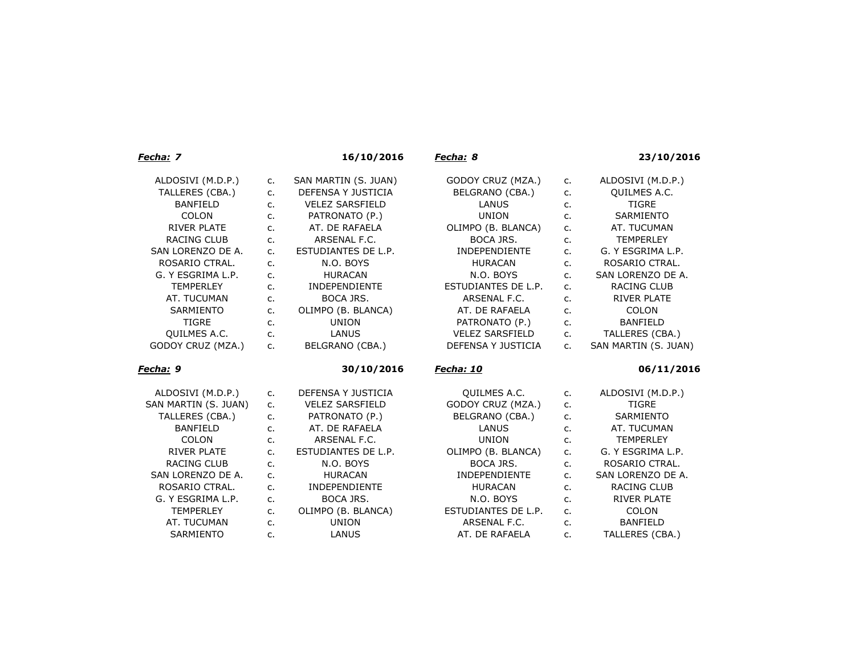| Fecha: 7             |         | 16/10/2016             | Fecha: 8               |         | 23/10/2016           |
|----------------------|---------|------------------------|------------------------|---------|----------------------|
| ALDOSIVI (M.D.P.)    | $C_{1}$ | SAN MARTIN (S. JUAN)   | GODOY CRUZ (MZA.)      | $C_{1}$ | ALDOSIVI (M.D.P.)    |
| TALLERES (CBA.)      | c.      | DEFENSA Y JUSTICIA     | BELGRANO (CBA.)        | $C_{1}$ | QUILMES A.C.         |
| <b>BANFIELD</b>      | c.      | <b>VELEZ SARSFIELD</b> | LANUS                  | c.      | <b>TIGRE</b>         |
| <b>COLON</b>         | c.      | PATRONATO (P.)         | <b>UNION</b>           | c.      | SARMIENTO            |
| <b>RIVER PLATE</b>   | c.      | AT. DE RAFAELA         | OLIMPO (B. BLANCA)     | c.      | AT. TUCUMAN          |
| <b>RACING CLUB</b>   | c.      | ARSENAL F.C.           | BOCA JRS.              | c.      | <b>TEMPERLEY</b>     |
| SAN LORENZO DE A.    | c.      | ESTUDIANTES DE L.P.    | <b>INDEPENDIENTE</b>   | c.      | G. Y ESGRIMA L.P.    |
| ROSARIO CTRAL.       | c.      | N.O. BOYS              | <b>HURACAN</b>         | c.      | ROSARIO CTRAL.       |
| G. Y ESGRIMA L.P.    | c.      | <b>HURACAN</b>         | N.O. BOYS              | c.      | SAN LORENZO DE A.    |
| <b>TEMPERLEY</b>     | c.      | INDEPENDIENTE          | ESTUDIANTES DE L.P.    | c.      | RACING CLUB          |
| AT. TUCUMAN          | c.      | <b>BOCA JRS.</b>       | ARSENAL F.C.           | c.      | <b>RIVER PLATE</b>   |
| <b>SARMIENTO</b>     | c.      | OLIMPO (B. BLANCA)     | AT. DE RAFAELA         | c.      | <b>COLON</b>         |
| <b>TIGRE</b>         | c.      | <b>UNION</b>           | PATRONATO (P.)         | $C_{1}$ | <b>BANFIELD</b>      |
| QUILMES A.C.         | c.      | <b>LANUS</b>           | <b>VELEZ SARSFIELD</b> | $C_{1}$ | TALLERES (CBA.)      |
| GODOY CRUZ (MZA.)    | c.      | BELGRANO (CBA.)        | DEFENSA Y JUSTICIA     | c.      | SAN MARTIN (S. JUAN) |
|                      |         |                        |                        |         |                      |
| Fecha: 9             |         | 30/10/2016             | Fecha: 10              |         | 06/11/2016           |
| ALDOSIVI (M.D.P.)    | c.      | DEFENSA Y JUSTICIA     | QUILMES A.C.           | c.      | ALDOSIVI (M.D.P.)    |
| SAN MARTIN (S. JUAN) | c.      | <b>VELEZ SARSFIELD</b> | GODOY CRUZ (MZA.)      | $C_{1}$ | <b>TIGRE</b>         |
| TALLERES (CBA.)      | c.      | PATRONATO (P.)         | BELGRANO (CBA.)        | $C_{1}$ | SARMIENTO            |
| <b>BANFIELD</b>      | c.      | AT. DE RAFAELA         | LANUS                  | c.      | AT. TUCUMAN          |
| COLON                | c.      | ARSENAL F.C.           | <b>UNION</b>           | c.      | <b>TEMPERLEY</b>     |
| <b>RIVER PLATE</b>   | c.      | ESTUDIANTES DE L.P.    | OLIMPO (B. BLANCA)     | c.      | G. Y ESGRIMA L.P.    |
| <b>RACING CLUB</b>   | c.      | N.O. BOYS              | BOCA JRS.              | c.      | ROSARIO CTRAL.       |
| SAN LORENZO DE A.    | c.      | <b>HURACAN</b>         | <b>INDEPENDIENTE</b>   | c.      | SAN LORENZO DE A.    |
| ROSARIO CTRAL.       | c.      | INDEPENDIENTE          | <b>HURACAN</b>         | c.      | RACING CLUB          |
| G. Y ESGRIMA L.P.    | c.      | <b>BOCA JRS.</b>       | N.O. BOYS              | c.      | <b>RIVER PLATE</b>   |
| <b>TEMPERLEY</b>     | c.      | OLIMPO (B. BLANCA)     | ESTUDIANTES DE L.P.    | c.      | <b>COLON</b>         |
| AT. TUCUMAN          | c.      | <b>UNION</b>           | ARSENAL F.C.           | c.      | <b>BANFIELD</b>      |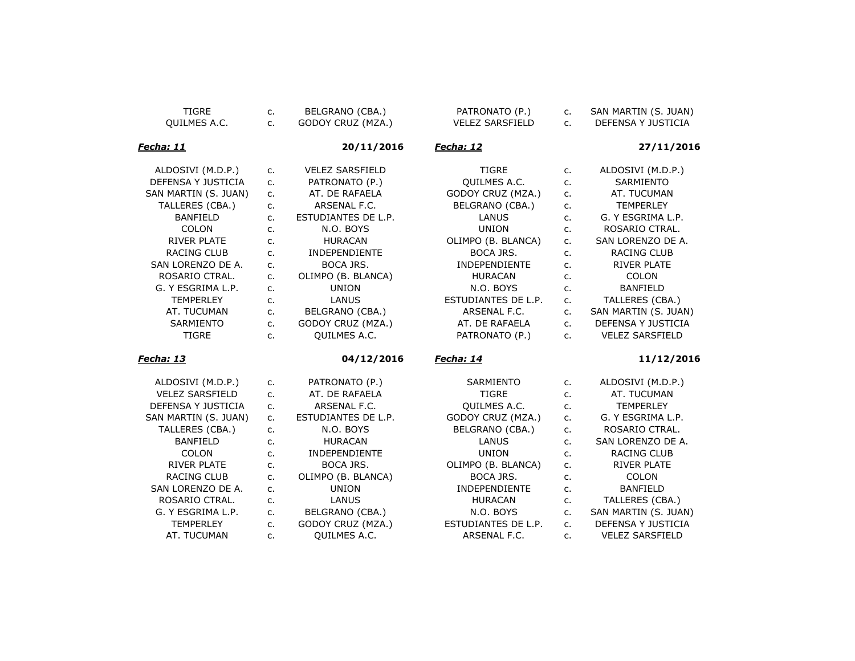| <b>TIGRE</b>           | c.      | BELGRANO (CBA.)        | PATRONATO (P.)         | $\mathsf{C}$ . | SAN MARTIN (S. JUAN)   |
|------------------------|---------|------------------------|------------------------|----------------|------------------------|
| QUILMES A.C.           | c.      | GODOY CRUZ (MZA.)      | <b>VELEZ SARSFIELD</b> | $C_{\cdot}$    | DEFENSA Y JUSTICIA     |
|                        |         |                        |                        |                |                        |
| Fecha: 11              |         | 20/11/2016             | <u>Fecha: 12</u>       |                | 27/11/2016             |
| ALDOSIVI (M.D.P.)      | c.      | <b>VELEZ SARSFIELD</b> | <b>TIGRE</b>           | c.             | ALDOSIVI (M.D.P.)      |
| DEFENSA Y JUSTICIA     | c.      | PATRONATO (P.)         | QUILMES A.C.           | c.             | SARMIENTO              |
| SAN MARTIN (S. JUAN)   | $C_{1}$ | AT. DE RAFAELA         | GODOY CRUZ (MZA.)      | C <sub>1</sub> | AT. TUCUMAN            |
| TALLERES (CBA.)        | c.      | ARSENAL F.C.           | BELGRANO (CBA.)        | c.             | <b>TEMPERLEY</b>       |
| <b>BANFIELD</b>        | c.      | ESTUDIANTES DE L.P.    | LANUS                  | c.             | G. Y ESGRIMA L.P.      |
| <b>COLON</b>           | c.      | N.O. BOYS              | <b>UNION</b>           | c.             | ROSARIO CTRAL.         |
| <b>RIVER PLATE</b>     | c.      | <b>HURACAN</b>         | OLIMPO (B. BLANCA)     | C <sub>1</sub> | SAN LORENZO DE A.      |
| <b>RACING CLUB</b>     | c.      | <b>INDEPENDIENTE</b>   | <b>BOCA JRS.</b>       | c.             | <b>RACING CLUB</b>     |
| SAN LORENZO DE A.      | c.      | <b>BOCA JRS.</b>       | <b>INDEPENDIENTE</b>   | $C_{1}$        | <b>RIVER PLATE</b>     |
| ROSARIO CTRAL.         | c.      | OLIMPO (B. BLANCA)     | <b>HURACAN</b>         | $C_{1}$        | <b>COLON</b>           |
| G. Y ESGRIMA L.P.      | c.      | <b>UNION</b>           | N.O. BOYS              | c.             | <b>BANFIELD</b>        |
| <b>TEMPERLEY</b>       | c.      | LANUS                  | ESTUDIANTES DE L.P.    | c.             | TALLERES (CBA.)        |
| AT. TUCUMAN            | $C_{1}$ | BELGRANO (CBA.)        | ARSENAL F.C.           | c.             | SAN MARTIN (S. JUAN)   |
| SARMIENTO              | $C_{1}$ | GODOY CRUZ (MZA.)      | AT. DE RAFAELA         | C <sub>1</sub> | DEFENSA Y JUSTICIA     |
| <b>TIGRE</b>           | $C_{1}$ | QUILMES A.C.           | PATRONATO (P.)         | C <sub>1</sub> | <b>VELEZ SARSFIELD</b> |
| <u> Fecha: 13</u>      |         | 04/12/2016             | <u>Fecha: 14</u>       |                | 11/12/2016             |
|                        |         |                        |                        |                |                        |
| ALDOSIVI (M.D.P.)      | $C_{1}$ | PATRONATO (P.)         | SARMIENTO              | $C_{1}$        | ALDOSIVI (M.D.P.)      |
| <b>VELEZ SARSFIELD</b> | $C_{1}$ | AT. DE RAFAELA         | <b>TIGRE</b>           | c.             | AT. TUCUMAN            |
| DEFENSA Y JUSTICIA     | c.      | ARSENAL F.C.           | QUILMES A.C.           | c.             | <b>TEMPERLEY</b>       |
| SAN MARTIN (S. JUAN)   | $C_{1}$ | ESTUDIANTES DE L.P.    | GODOY CRUZ (MZA.)      | c.             | G. Y ESGRIMA L.P.      |
| TALLERES (CBA.)        | c.      | N.O. BOYS              | BELGRANO (CBA.)        | c.             | ROSARIO CTRAL.         |
| <b>BANFIELD</b>        | c.      | <b>HURACAN</b>         | LANUS                  | c.             | SAN LORENZO DE A.      |
| COLON                  | c.      | <b>INDEPENDIENTE</b>   | <b>UNION</b>           | c.             | RACING CLUB            |
| <b>RIVER PLATE</b>     | c.      | <b>BOCA JRS.</b>       | OLIMPO (B. BLANCA)     | c.             | <b>RIVER PLATE</b>     |
| <b>RACING CLUB</b>     | c.      | OLIMPO (B. BLANCA)     | BOCA JRS.              | c.             | <b>COLON</b>           |
| SAN LORENZO DE A.      | c.      | <b>UNION</b>           | INDEPENDIENTE          | c.             | <b>BANFIELD</b>        |
| ROSARIO CTRAL.         | c.      | LANUS                  | <b>HURACAN</b>         | c.             | TALLERES (CBA.)        |
| G. Y ESGRIMA L.P.      | c.      | BELGRANO (CBA.)        | N.O. BOYS              | c.             | SAN MARTIN (S. JUAN)   |
| <b>TEMPERLEY</b>       | c.      | GODOY CRUZ (MZA.)      | ESTUDIANTES DE L.P.    | C <sub>1</sub> | DEFENSA Y JUSTICIA     |
| AT. TUCUMAN            | c.      | QUILMES A.C.           | ARSENAL F.C.           | c.             | <b>VELEZ SARSFIELD</b> |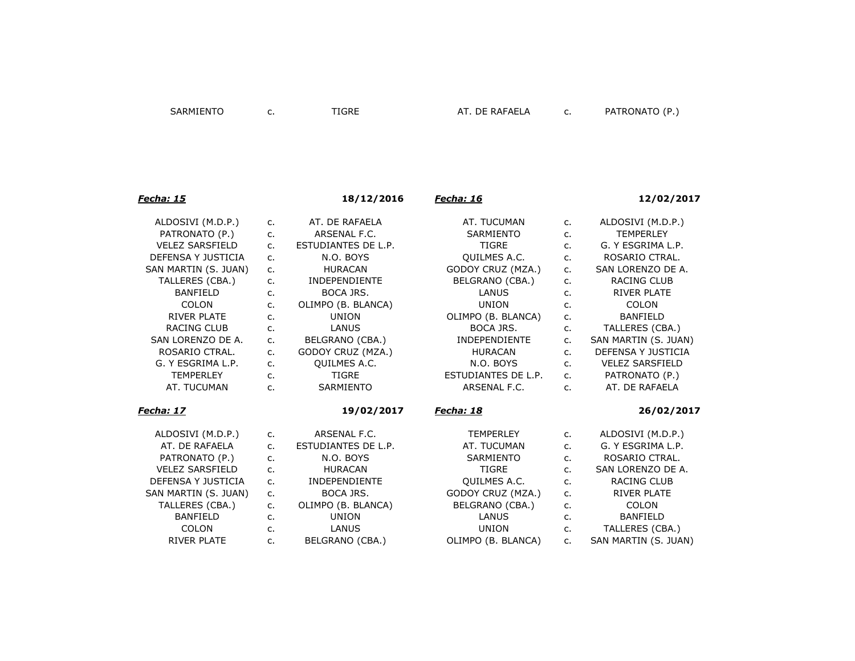## *Fecha: 15* **18/12/2016** *Fecha: 16* **12/02/2017** ALDOSIVI (M.D.P.) c. AT. DE RAFAELA AT. TUCUMAN c. ALDOSIVI (M.D.P.) PATRONATO (P.) c. ARSENAL F.C. SARMIENTO c. TEMPERLEY VELEZ SARSFIELD c. ESTUDIANTES DE L.P. TIGRE c. G. Y ESGRIMA L.P. DEFENSA Y JUSTICIA c. N.O. BOYS QUILMES A.C. c. ROSARIO CTRAL. SAN MARTIN (S. JUAN) c. HURACAN GODOY CRUZ (MZA.) c. SAN LORENZO DE A. TALLERES (CBA.) c. INDEPENDIENTE BELGRANO (CBA.) c. RACING CLUB BANFIELD c. BOCA JRS. LANUS c. RIVER PLATE COLON c. OLIMPO (B. BLANCA) UNION c. COLON RIVER PLATE c. C. UNION OLIMPO (B. BLANCA) c. BANFIELD RACING CLUB c. LANUS BOCA JRS. c. TALLERES (CBA.) SAN LORENZO DE A. c. BELGRANO (CBA.) INDEPENDIENTE c. SAN MARTIN (S. JUAN) ROSARIO CTRAL. c. GODOY CRUZ (MZA.) HURACAN c. DEFENSA Y JUSTICIA G. Y ESGRIMA L.P. c. QUILMES A.C. N.O. BOYS c. VELEZ SARSFIELD TEMPERLEY c. TIGRE ESTUDIANTES DE L.P. c. PATRONATO (P.) AT. TUCUMAN c. SARMIENTO ARSENAL F.C. c. AT. DE RAFAELA *Fecha: 17* **19/02/2017** *Fecha: 18* **26/02/2017** ALDOSIVI (M.D.P.) c. ARSENAL F.C. TEMPERLEY c. ALDOSIVI (M.D.P.) AT. DE RAFAELA c. ESTUDIANTES DE L.P. AT. TUCUMAN c. G. Y ESGRIMA L.P. PATRONATO (P.) c. N.O. BOYS SARMIENTO c. ROSARIO CTRAL. VELEZ SARSFIELD c. HURACAN TIGRE c. SAN LORENZO DE A. DEFENSA Y JUSTICIA c. INDEPENDIENTE QUILMES A.C. c. RACING CLUB SAN MARTIN (S. JUAN) c. BOCA JRS. GODOY CRUZ (MZA.) c. RIVER PLATE TALLERES (CBA.) c. OLIMPO (B. BLANCA) BELGRANO (CBA.) c. COLON BANFIELD c. UNION LANUS c. BANFIELD COLON c. LANUS UNION c. TALLERES (CBA.) RIVER PLATE c. BELGRANO (CBA.) OLIMPO (B. BLANCA) c. SAN MARTIN (S. JUAN)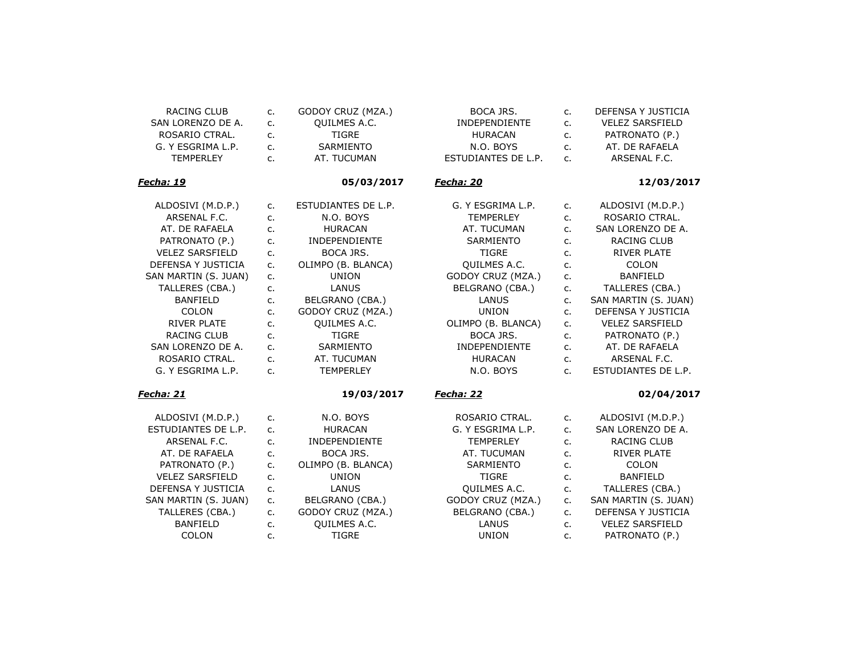| RACING CLUB            | $C_{1}$        | GODOY CRUZ (MZA.)    | BOCA JRS.            | c.      | DEFENSA Y JUSTICIA     |
|------------------------|----------------|----------------------|----------------------|---------|------------------------|
| SAN LORENZO DE A.      | c.             | QUILMES A.C.         | INDEPENDIENTE        | $C_{1}$ | <b>VELEZ SARSFIELD</b> |
| ROSARIO CTRAL.         | c.             | <b>TIGRE</b>         | <b>HURACAN</b>       | $C_{1}$ | PATRONATO (P.)         |
| G. Y ESGRIMA L.P.      | $C_{1}$        | SARMIENTO            | N.O. BOYS            | c.      | AT. DE RAFAELA         |
| <b>TEMPERLEY</b>       | C <sub>1</sub> | AT. TUCUMAN          | ESTUDIANTES DE L.P.  | $C_{1}$ | ARSENAL F.C.           |
| <u> Fecha: 19</u>      |                | 05/03/2017           | <u>Fecha: 20</u>     |         | 12/03/2017             |
| ALDOSIVI (M.D.P.)      | $C_{1}$        | ESTUDIANTES DE L.P.  | G. Y ESGRIMA L.P.    | $C_{1}$ | ALDOSIVI (M.D.P.)      |
| ARSENAL F.C.           | $C_{1}$        | N.O. BOYS            | <b>TEMPERLEY</b>     | $C_{1}$ | ROSARIO CTRAL.         |
| AT. DE RAFAELA         | $C_{\cdot}$    | <b>HURACAN</b>       | AT. TUCUMAN          | $C_{1}$ | SAN LORENZO DE A.      |
| PATRONATO (P.)         | $C_{1}$        | INDEPENDIENTE        | SARMIENTO            | c.      | RACING CLUB            |
| <b>VELEZ SARSFIELD</b> | $C_{1}$        | <b>BOCA JRS.</b>     | <b>TIGRE</b>         | $C_{1}$ | <b>RIVER PLATE</b>     |
| DEFENSA Y JUSTICIA     | $C_{1}$        | OLIMPO (B. BLANCA)   | <b>OUILMES A.C.</b>  | c.      | COLON                  |
| SAN MARTIN (S. JUAN)   | c.             | <b>UNION</b>         | GODOY CRUZ (MZA.)    | $C_{1}$ | <b>BANFIELD</b>        |
| TALLERES (CBA.)        | $C_{1}$        | LANUS                | BELGRANO (CBA.)      | c.      | TALLERES (CBA.)        |
| <b>BANFIELD</b>        | $C_{1}$        | BELGRANO (CBA.)      | <b>LANUS</b>         | c.      | SAN MARTIN (S. JUAN)   |
| COLON                  | c.             | GODOY CRUZ (MZA.)    | <b>UNION</b>         | c.      | DEFENSA Y JUSTICIA     |
| <b>RIVER PLATE</b>     | c.             | QUILMES A.C.         | OLIMPO (B. BLANCA)   | $C_{1}$ | <b>VELEZ SARSFIELD</b> |
| <b>RACING CLUB</b>     | c.             | <b>TIGRE</b>         | BOCA JRS.            | $C_{1}$ | PATRONATO (P.)         |
| SAN LORENZO DE A.      | $C_{1}$        | SARMIENTO            | <b>INDEPENDIENTE</b> | c.      | AT. DE RAFAELA         |
| ROSARIO CTRAL.         | $C_{1}$        | AT. TUCUMAN          | <b>HURACAN</b>       | $C_{1}$ | ARSENAL F.C.           |
| G. Y ESGRIMA L.P.      | $C_{1}$        | <b>TEMPERLEY</b>     | N.O. BOYS            | $C_{1}$ | ESTUDIANTES DE L.P.    |
| Fecha: 21              |                | 19/03/2017           | Fecha: 22            |         | 02/04/2017             |
| ALDOSIVI (M.D.P.)      | c.             | N.O. BOYS            | ROSARIO CTRAL.       | $C_{1}$ | ALDOSIVI (M.D.P.)      |
| ESTUDIANTES DE L.P.    | $C_{1}$        | <b>HURACAN</b>       | G. Y ESGRIMA L.P.    | $C_{1}$ | SAN LORENZO DE A.      |
| ARSENAL F.C.           | $C_{1}$        | <b>INDEPENDIENTE</b> | <b>TEMPERLEY</b>     | c.      | <b>RACING CLUB</b>     |
| AT. DE RAFAELA         | $C_{1}$        | <b>BOCA JRS.</b>     | AT. TUCUMAN          | $C_{1}$ | <b>RIVER PLATE</b>     |
| PATRONATO (P.)         | c.             | OLIMPO (B. BLANCA)   | SARMIENTO            | c.      | <b>COLON</b>           |
| <b>VELEZ SARSFIELD</b> | $C_{1}$        | <b>UNION</b>         | <b>TIGRE</b>         | c.      | <b>BANFIELD</b>        |
| DEFENSA Y JUSTICIA     | $C_{1}$        | LANUS                | QUILMES A.C.         | c.      | TALLERES (CBA.)        |
| SAN MARTIN (S. JUAN)   | $C_{1}$        | BELGRANO (CBA.)      | GODOY CRUZ (MZA.)    | c.      | SAN MARTIN (S. JUAN)   |
| TALLERES (CBA.)        | c.             | GODOY CRUZ (MZA.)    | BELGRANO (CBA.)      | $C_{1}$ | DEFENSA Y JUSTICIA     |
| <b>BANFIELD</b>        | $C_{1}$        | QUILMES A.C.         | LANUS                | $C_{1}$ | <b>VELEZ SARSFIELD</b> |
| COLON                  | c.             | <b>TIGRE</b>         | <b>UNION</b>         | c.      | PATRONATO (P.)         |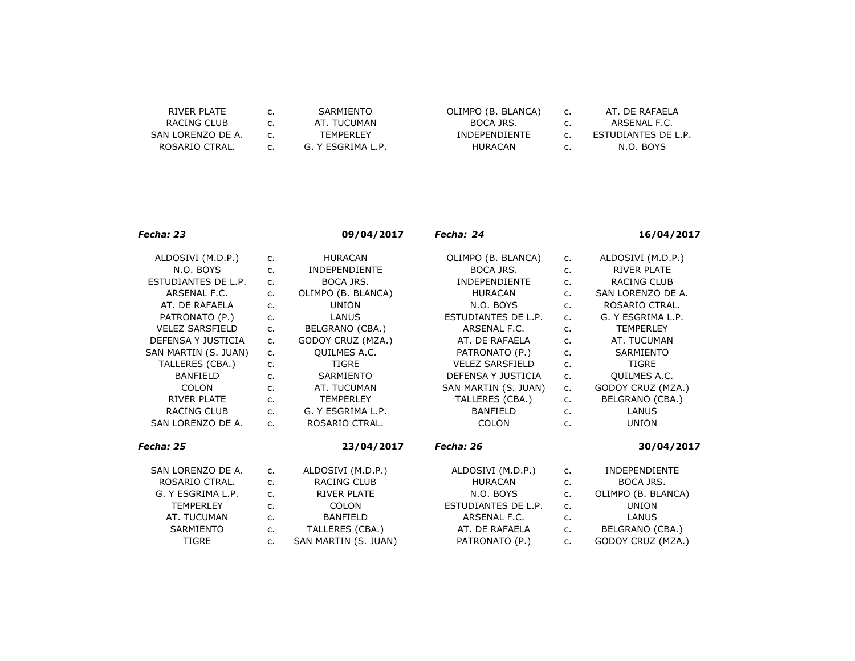| RIVER PLATE       | c. | SARMIENTO         | OLIMI |
|-------------------|----|-------------------|-------|
| RACING CLUB       | C. | AT. TUCUMAN       |       |
| SAN LORENZO DE A. |    | <b>TFMPFRI FY</b> | TNF   |
| ROSARIO CTRAL.    | C. | G. Y ESGRIMA L.P. |       |
|                   |    |                   |       |

| OLIMPO (B. BLANCA)   |  |
|----------------------|--|
| BOCA JRS.            |  |
| <b>INDEPENDIENTE</b> |  |
| HURACAN              |  |

c. AT. DE RAFAELA c. ARSENAL F.C. c. ESTUDIANTES DE L.P. c. N.O. BOYS

| <u> Fecha: 23</u>      |                | 09/04/2017           | <u>Fecha:</u> 24       |                | 16/04/2017           |
|------------------------|----------------|----------------------|------------------------|----------------|----------------------|
| ALDOSIVI (M.D.P.)      | $C_{1}$        | <b>HURACAN</b>       | OLIMPO (B. BLANCA)     | c.             | ALDOSIVI (M.D.P.)    |
| N.O. BOYS              | c.             | <b>INDEPENDIENTE</b> | BOCA JRS.              | c.             | <b>RIVER PLATE</b>   |
| ESTUDIANTES DE L.P.    | c.             | BOCA JRS.            | <b>INDEPENDIENTE</b>   | c.             | <b>RACING CLUB</b>   |
| ARSENAL F.C.           | c.             | OLIMPO (B. BLANCA)   | <b>HURACAN</b>         | c.             | SAN LORENZO DE A.    |
| AT. DE RAFAELA         | c.             | <b>UNION</b>         | N.O. BOYS              | $C_{1}$        | ROSARIO CTRAL.       |
| PATRONATO (P.)         | c.             | LANUS                | ESTUDIANTES DE L.P.    | C <sub>1</sub> | G. Y ESGRIMA L.P.    |
| <b>VELEZ SARSFIELD</b> | c.             | BELGRANO (CBA.)      | ARSENAL F.C.           | C <sub>1</sub> | <b>TEMPERLEY</b>     |
| DEFENSA Y JUSTICIA     | c.             | GODOY CRUZ (MZA.)    | AT. DE RAFAELA         | $C_{1}$        | AT. TUCUMAN          |
| SAN MARTIN (S. JUAN)   | $C_{1}$        | QUILMES A.C.         | PATRONATO (P.)         | c.             | SARMIENTO            |
| TALLERES (CBA.)        | c.             | <b>TIGRE</b>         | <b>VELEZ SARSFIELD</b> | c.             | <b>TIGRE</b>         |
| <b>BANFIELD</b>        | c.             | SARMIENTO            | DEFENSA Y JUSTICIA     | $C_{1}$        | QUILMES A.C.         |
| <b>COLON</b>           | c.             | AT. TUCUMAN          | SAN MARTIN (S. JUAN)   | c.             | GODOY CRUZ (MZA.)    |
| <b>RIVER PLATE</b>     | c.             | <b>TEMPERLEY</b>     | TALLERES (CBA.)        | c.             | BELGRANO (CBA.)      |
| <b>RACING CLUB</b>     | c.             | G. Y ESGRIMA L.P.    | <b>BANFIELD</b>        | c.             | LANUS                |
| SAN LORENZO DE A.      | C <sub>1</sub> | ROSARIO CTRAL.       | <b>COLON</b>           | $C_{1}$        | <b>UNION</b>         |
| <u> Fecha: 25</u>      |                | 23/04/2017           | <u> Fecha: 26</u>      |                | 30/04/2017           |
| SAN LORENZO DE A.      | $C_{1}$        | ALDOSIVI (M.D.P.)    | ALDOSIVI (M.D.P.)      | $C_{1}$        | <b>INDEPENDIENTE</b> |
| ROSARIO CTRAL.         | c.             | <b>RACING CLUB</b>   | <b>HURACAN</b>         | c.             | BOCA JRS.            |
| G. Y ESGRIMA L.P.      | c.             | <b>RIVER PLATE</b>   | N.O. BOYS              | $C_{1}$        | OLIMPO (B. BLANCA)   |
| <b>TEMPERLEY</b>       | c.             | <b>COLON</b>         | ESTUDIANTES DE L.P.    | c.             | <b>UNION</b>         |
| AT. TUCUMAN            | $C_{1}$        | <b>BANFIELD</b>      | ARSENAL F.C.           | $C_{1}$        | <b>LANUS</b>         |
| <b>SARMIENTO</b>       | $C_{1}$        | TALLERES (CBA.)      | AT. DE RAFAELA         | $C_{1}$        | BELGRANO (CBA.)      |

TIGRE c. SAN MARTIN (S. JUAN) PATRONATO (P.) c. GODOY CRUZ (MZA.)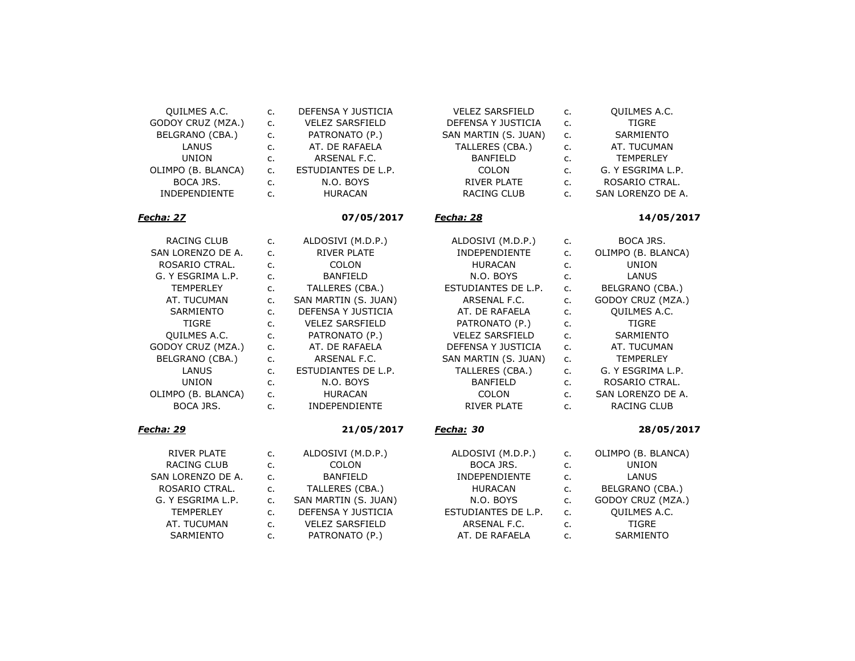| QUILMES A.C.         | c.      | DEFENSA Y JUSTICIA     | <b>VELEZ SARSFIELD</b> | c.          | <b>OUILMES A.C.</b> |
|----------------------|---------|------------------------|------------------------|-------------|---------------------|
| GODOY CRUZ (MZA.)    | $C_{1}$ | <b>VELEZ SARSFIELD</b> | DEFENSA Y JUSTICIA     | $C_{1}$     | <b>TIGRE</b>        |
| BELGRANO (CBA.)      | c.      | PATRONATO (P.)         | SAN MARTIN (S. JUAN)   | $C_{1}$     | <b>SARMIENTO</b>    |
| LANUS                | c.      | AT. DE RAFAELA         | TALLERES (CBA.)        | $C_{1}$     | AT. TUCUMAN         |
| <b>UNION</b>         | $C_{1}$ | ARSENAL F.C.           | <b>BANFIELD</b>        | $C_{1}$     | <b>TEMPERLEY</b>    |
| OLIMPO (B. BLANCA)   | c.      | ESTUDIANTES DE L.P.    | COLON                  | c.          | G. Y ESGRIMA L.P.   |
| BOCA JRS.            | c.      | N.O. BOYS              | <b>RIVER PLATE</b>     | c.          | ROSARIO CTRAL.      |
| <b>INDEPENDIENTE</b> | c.      | <b>HURACAN</b>         | <b>RACING CLUB</b>     | $C_{1}$     | SAN LORENZO DE A.   |
| Fecha: 27            |         | 07/05/2017             | Fecha: 28              |             | 14/05/2017          |
| <b>RACING CLUB</b>   | c.      | ALDOSIVI (M.D.P.)      | ALDOSIVI (M.D.P.)      | c.          | BOCA JRS.           |
| SAN LORENZO DE A.    | c.      | <b>RIVER PLATE</b>     | INDEPENDIENTE          | $C_{1}$     | OLIMPO (B. BLANCA)  |
| ROSARIO CTRAL.       | c.      | <b>COLON</b>           | <b>HURACAN</b>         | $C_{1}$     | <b>UNION</b>        |
| G. Y ESGRIMA L.P.    | c.      | <b>BANFIELD</b>        | N.O. BOYS              | $C_{1}$     | LANUS               |
| <b>TEMPERLEY</b>     | c.      | TALLERES (CBA.)        | ESTUDIANTES DE L.P.    | $C_{1}$     | BELGRANO (CBA.)     |
| AT. TUCUMAN          | $C_{1}$ | SAN MARTIN (S. JUAN)   | ARSENAL F.C.           | $C_{1}$     | GODOY CRUZ (MZA.)   |
| SARMIENTO            | $C_{1}$ | DEFENSA Y JUSTICIA     | AT. DE RAFAELA         | $C_{1}$     | QUILMES A.C.        |
| <b>TIGRE</b>         | $C_{1}$ | <b>VELEZ SARSFIELD</b> | PATRONATO (P.)         | $C_{1}$     | <b>TIGRE</b>        |
| QUILMES A.C.         | $C_{1}$ | PATRONATO (P.)         | <b>VELEZ SARSFIELD</b> | c.          | SARMIENTO           |
| GODOY CRUZ (MZA.)    | $C_{1}$ | AT. DE RAFAELA         | DEFENSA Y JUSTICIA     | c.          | AT. TUCUMAN         |
| BELGRANO (CBA.)      | c.      | ARSENAL F.C.           | SAN MARTIN (S. JUAN)   | $C_{\cdot}$ | <b>TEMPERLEY</b>    |
| LANUS                | $C_{1}$ | ESTUDIANTES DE L.P.    | TALLERES (CBA.)        | $C_{1}$     | G. Y ESGRIMA L.P.   |
| <b>UNION</b>         | $C_{1}$ | N.O. BOYS              | <b>BANFIELD</b>        | c.          | ROSARIO CTRAL.      |
| OLIMPO (B. BLANCA)   | c.      | <b>HURACAN</b>         | COLON                  | c.          | SAN LORENZO DE A.   |
| BOCA JRS.            | $C_{1}$ | INDEPENDIENTE          | <b>RIVER PLATE</b>     | $C_{1}$     | <b>RACING CLUB</b>  |
| Fecha: 29            |         | 21/05/2017             | <u>Fecha:</u> 30       |             | 28/05/2017          |
| <b>RIVER PLATE</b>   | c.      | ALDOSIVI (M.D.P.)      | ALDOSIVI (M.D.P.)      | c.          | OLIMPO (B. BLANCA)  |
| RACING CLUB          | $C_{1}$ | <b>COLON</b>           | BOCA JRS.              | $C_{1}$     | <b>UNION</b>        |
| SAN LORENZO DE A.    | c.      | <b>BANFIELD</b>        | <b>INDEPENDIENTE</b>   | c.          | LANUS               |
| ROSARIO CTRAL.       | c.      | TALLERES (CBA.)        | <b>HURACAN</b>         | $C_{1}$     | BELGRANO (CBA.)     |
| G. Y ESGRIMA L.P.    | $C_{1}$ | SAN MARTIN (S. JUAN)   | N.O. BOYS              | $C_{1}$     | GODOY CRUZ (MZA.)   |
| <b>TEMPERLEY</b>     | c.      | DEFENSA Y JUSTICIA     | ESTUDIANTES DE L.P.    | $C_{1}$     | QUILMES A.C.        |
| AT. TUCUMAN          | c.      | <b>VELEZ SARSFIELD</b> | ARSENAL F.C.           | c.          | <b>TIGRE</b>        |

SARMIENTO c. PATRONATO (P.) AT. DE RAFAELA c. SARMIENTO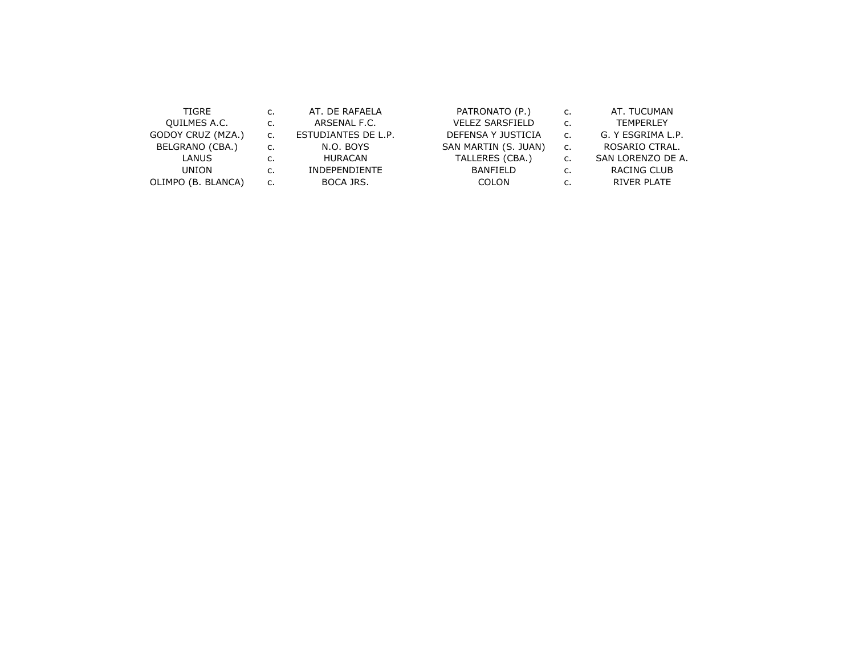| TIGRE              | C. | AT. DE RAFAELA       | PATRONATO (P.)         | c. | AT. TUCUMAN       |
|--------------------|----|----------------------|------------------------|----|-------------------|
| QUILMES A.C.       | c. | ARSENAL F.C.         | <b>VELEZ SARSFIELD</b> | c. | <b>TEMPERLEY</b>  |
| GODOY CRUZ (MZA.)  |    | ESTUDIANTES DE L.P.  | DEFENSA Y JUSTICIA     | c. | G. Y ESGRIMA L.P. |
| BELGRANO (CBA.)    |    | N.O. BOYS            | SAN MARTIN (S. JUAN)   | c. | ROSARIO CTRAL.    |
| <b>LANUS</b>       |    | HURACAN              | TALLERES (CBA.)        | c. | SAN LORENZO DE A. |
| <b>UNION</b>       |    | <b>INDEPENDIENTE</b> | BANFIELD               | c. | RACING CLUB       |
| OLIMPO (B. BLANCA) | c. | BOCA JRS.            | COLON                  | c. | RIVER PLATE       |
|                    |    |                      |                        |    |                   |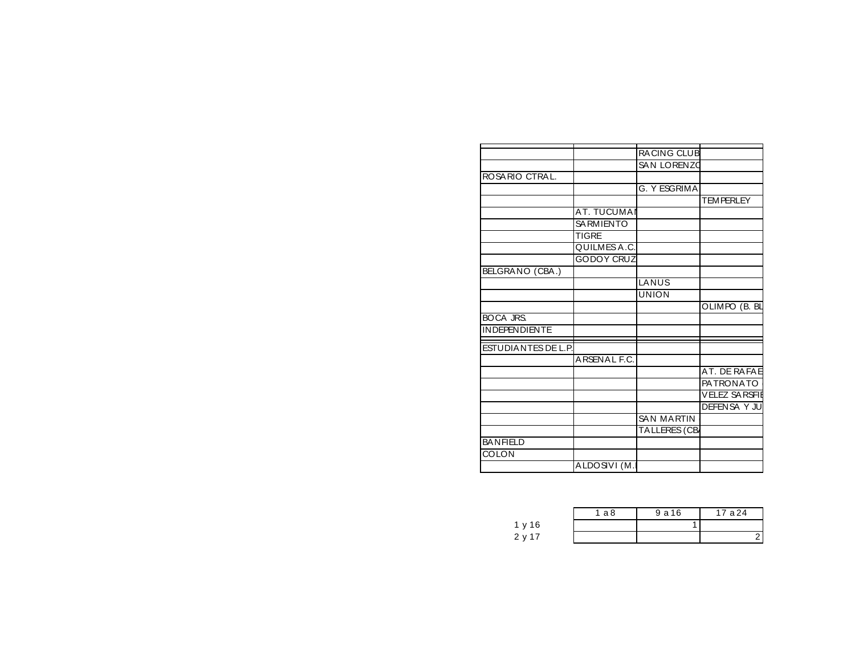|                            |                    | <b>RACING CLUB</b> |                       |
|----------------------------|--------------------|--------------------|-----------------------|
|                            |                    | SAN LORENZO        |                       |
| ROSARIO CTRAL.             |                    |                    |                       |
|                            |                    | G. Y ESGRIMA       |                       |
|                            |                    |                    | <b>TEMPERLEY</b>      |
|                            | <b>AT. TUCUMAI</b> |                    |                       |
|                            | <b>SA RMIENTO</b>  |                    |                       |
|                            | <b>TIGRE</b>       |                    |                       |
|                            | QUILMES A.C.       |                    |                       |
|                            | <b>GODOY CRUZ</b>  |                    |                       |
| BELGRANO (CBA.)            |                    |                    |                       |
|                            |                    | LANUS              |                       |
|                            |                    | <b>UNION</b>       |                       |
|                            |                    |                    | OLIMPO (B. BL         |
| <b>BOCA JRS.</b>           |                    |                    |                       |
| <b>INDEPENDIENTE</b>       |                    |                    |                       |
|                            |                    |                    |                       |
| <b>ESTUDIANTES DE L.P.</b> |                    |                    |                       |
|                            | ARSENAL F.C.       |                    |                       |
|                            |                    |                    | AT. DE RAFAE          |
|                            |                    |                    | <b>PATRONATO</b>      |
|                            |                    |                    | <b>VELEZ SA RSFIE</b> |
|                            |                    |                    | <b>DEFENSAY JU</b>    |
|                            |                    | <b>SAN MARTIN</b>  |                       |
|                            |                    | TA LLERES (CB      |                       |
| <b>BANFIELD</b>            |                    |                    |                       |
| <b>COLON</b>               |                    |                    |                       |
|                            | ALDOSIVI (M.       |                    |                       |

|        | a8 ` | 9 a 16 | 17 a 24 |
|--------|------|--------|---------|
| 1 y 16 |      |        |         |
| 2 y 17 |      |        |         |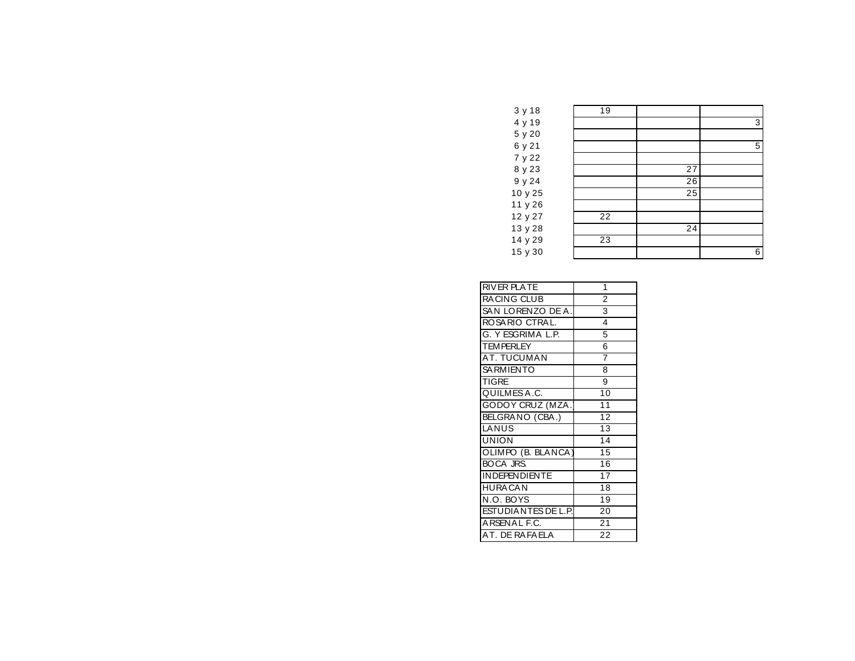| 3 y 18  | 19 |    |   |
|---------|----|----|---|
| 4 y 19  |    |    | 3 |
| 5 y 20  |    |    |   |
| 6 y 21  |    |    | 5 |
| 7 y 22  |    |    |   |
| 8 y 23  |    | 27 |   |
| 9 y 24  |    | 26 |   |
| 10 y 25 |    | 25 |   |
| 11 y 26 |    |    |   |
| 12 y 27 | 22 |    |   |
| 13 y 28 |    | 24 |   |
| 14 y 29 | 23 |    |   |
| 15 y 30 |    |    | 6 |
|         |    |    |   |

| 1               |
|-----------------|
| $\overline{2}$  |
| 3               |
| 4               |
| 5               |
| 6               |
| 7               |
| 8               |
| 9               |
| 10              |
| 11              |
| 12              |
| $\overline{13}$ |
| 14              |
| 15              |
| $\overline{16}$ |
| $\overline{17}$ |
| 18              |
| $1\overline{9}$ |
| 20              |
| 21              |
| 22              |
|                 |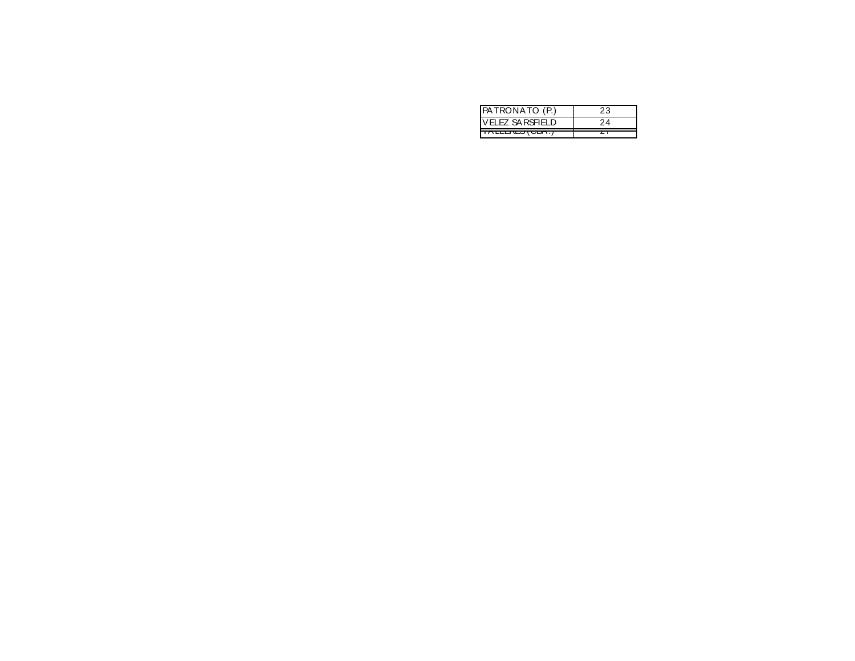| <b>PATRONATO (P.)</b>  |  |
|------------------------|--|
| ELEZ SA RSFIELD        |  |
| <b>IALLENLO (UDA.)</b> |  |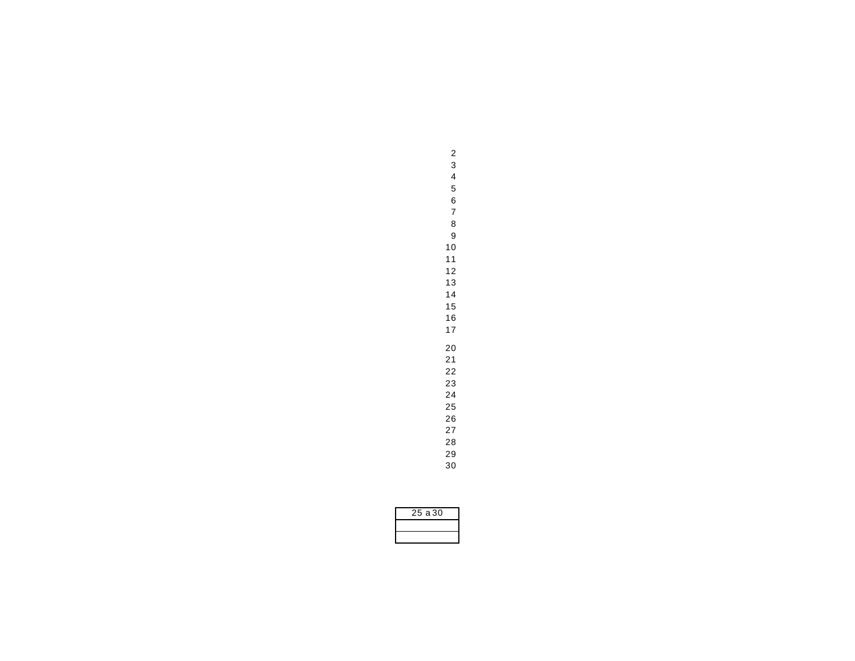| 25 a 30 |
|---------|
|         |
|         |